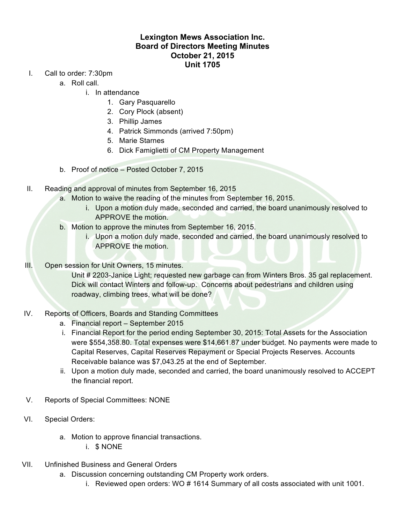## **Lexington Mews Association Inc. Board of Directors Meeting Minutes October 21, 2015 Unit 1705**

- I. Call to order: 7:30pm
	- a. Roll call.
		- i. In attendance
			- 1. Gary Pasquarello
			- 2. Cory Plock (absent)
			- 3. Phillip James
			- 4. Patrick Simmonds (arrived 7:50pm)
			- 5. Marie Starnes
			- 6. Dick Famiglietti of CM Property Management
	- b. Proof of notice Posted October 7, 2015
- II. Reading and approval of minutes from September 16, 2015
	- a. Motion to waive the reading of the minutes from September 16, 2015.
		- i. Upon a motion duly made, seconded and carried, the board unanimously resolved to APPROVE the motion.
	- b. Motion to approve the minutes from September 16, 2015.
		- i. Upon a motion duly made, seconded and carried, the board unanimously resolved to APPROVE the motion.
- III. Open session for Unit Owners, 15 minutes.

Unit # 2203-Janice Light; requested new garbage can from Winters Bros. 35 gal replacement. Dick will contact Winters and follow-up. Concerns about pedestrians and children using roadway, climbing trees, what will be done?

- IV. Reports of Officers, Boards and Standing Committees
	- a. Financial report September 2015
	- i. Financial Report for the period ending September 30, 2015: Total Assets for the Association were \$554,358.80. Total expenses were \$14,661.87 under budget. No payments were made to Capital Reserves, Capital Reserves Repayment or Special Projects Reserves. Accounts Receivable balance was \$7,043.25 at the end of September.
	- ii. Upon a motion duly made, seconded and carried, the board unanimously resolved to ACCEPT the financial report.
- V. Reports of Special Committees: NONE
- VI. Special Orders:
	- a. Motion to approve financial transactions.
		- i. \$ NONE
- VII. Unfinished Business and General Orders
	- a. Discussion concerning outstanding CM Property work orders.
		- i. Reviewed open orders: WO # 1614 Summary of all costs associated with unit 1001.